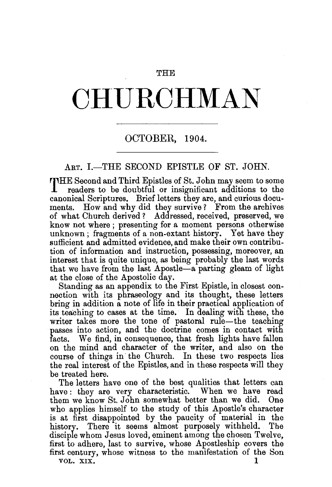### **THE**

# **CHU.RCHMAN**

## OCTOBER, 1904.

## ART. I.-THE SECOND EPISTLE OF ST. JOHN.

THE Second and Third Epistles of St. John may seem to some readers to be doubtful or insignificant additions to the canonical Scriptures. Brief letters they are, and curious documents. How and why did they survive? From the archives of what Church derived ? Addressed, received, preserved, we know not where ; presenting for a moment persons otherwise unknown; fragments of a non-extant history. Yet have they sufficient and admitted evidence, and make their own contribution of information and instruction, possessing, moreover, an interest that is quite unique, as being probably the last words that we have from the last Apostle-a parting gleam of light at the close of the Apostolic day.

Standing as an appendix to the First Epistle, in closest connection with its phraseology and its thought, these letters bring in addition a note of life in their practical application of its teaching to cases at the time. In dealing with these, the writer takes more the tone of pastoral rule-the teaching passes into action, and the doctrine comes in contact with facts. We find, in consequence, that fresh lights have fallen on the mind and character of the writer, and also on the course of things in· the Church. In these two respects lies the real interest of the Epistles, and in these respects will they be treated here.

The letters have one of the best qualities that letters can have: they are very characteristic. When we have read them we know St. John somewhat better than we did. One who applies himself to the study of this Apostle's character is at first disappointed by the paucity of material in the history. There it seems almost purposely withheld. Tbe disciple whom Jesus loved, eminent among the chosen Twelve, first to adhere, last to survive, whose Apostleship covers the first century, whose witness to the manifestation of the Son VOL. XIX.  $1$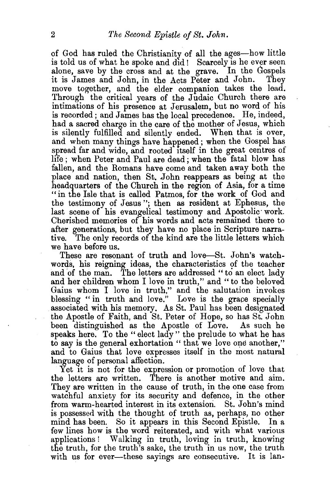of God has ruled the Christianity of all the ages-how little is told us of what he spoke and did! Scarcely is he ever seen alone, save by the cross and at the grave. In the Gospels it is James and John in the Acts Peter and John. They it is James and John, in the Acts Peter and John. move together, and the elder companion takes the lead. Through the critical years of the Judaic Church there are intimations of his presence at Jerusalem, but no word of his is recorded; and James bas the local precedence. He, indeed, had a sacred charge in the care of the mother of Jesus, which is silently fulfilled and silently ended. When that is over, and when many things have happened; when the Gospel has spread far and wide, and rooted itself in the great centres of life; when Peter and Paul are dead; when the fatal blow has fallen, and the Romans have come and taken away both the place and nation, then St. John reappears as being at the headquarters of the Church in the region of Asia, for a time " in the Isle that is called Patmos, for the work of God and the testimony of Jesus "; then as resident at Ephesus, the last scene of his evangelical testimony and Apostolic work. Cherished memories of his words and acts remained there to after generations, but they have no place in Scripture narrative. The only records of the kind are the little letters which we have before us.

These are resonant of truth and love-St. John's watchwords, his reigning ideas, the characteristics of the teacher and of the man. The letters are addressed " to an elect lady and her children whom I love in truth," and "to the beloved Gaius whom I love in truth," and the salutation invokes blessing " in truth and love." Love is the grace specially associated with his memory. As St. Paul has been designated the Apostle of Faith, and St. Peter of Hope, so has St. John been distinguished as the Apostle of Love. As such he speaks here. To the " elect lady" the prelude to what he has to say is the general exhortation "that we love one another," and to Gaius that love expresses itself in the most natural language of personal affection.

Yet it is not for the expression or promotion of love that the letters are written. There is another motive and aim. They are written in the cause of truth, in the one case from watchful anxiety for its security and defence, in the other from warm-hearted interest in its extension. St. John's mind is possessed with the thought of truth as, perhaps, no other mind has been. So it appears in this Second Epistle. In a few lines how is the word reiterated, and with what various applications ! Walking in truth, loving in truth, knowing the truth, for the truth's sake, the truth in us now, the truth with us for ever-these sayings are consecutive. It is lan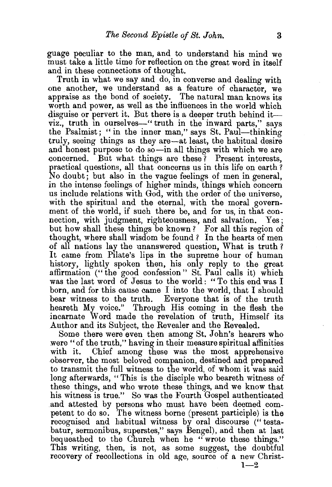guage peculiar to the man, and to understand his mind we must take a little time for reflection on the great word in itself and in these connections of thought.

Truth in what we say and do, in converse and dealing with one another, we understand as a feature of character, we appraise as the bond of society. The natural man knows its worth and power, as well as the influences in the world which disguise or pervert it. But there is a deeper truth behind itviz., truth in ourselves—" truth in the inward parts," says the Psalmist; "in the inner man," says St. Paul--thinking truly, seeing things as they are—at least, the habitual desire and honest purpose to do so—in all things with which we are concerned. But what things are these? Present interests. But what things are these? Present interests, practical questions, all that concerns us in this life on earth? No doubt; but also in the vague feelings of men in general, in the intense feelings of higher minds, things which concern us include relations with God, with the order of the universe, with the spiritual and the eternal, with the moral government of the world, if such there be, and for us, in that connection, with judgment, righteousness, and salvation. Yes; but how shall these things be known? For all this region of thought, where shall wisdom be found ? In the hearts of men of all nations lay the unanswered question, What is truth ? It came from Pilate's lips in the supreme hour of human history, lightly spoken then, his only reply to the great affirmation ("the good confession" St. Paul calls it) which was the last word of Jesus to the world: " To this end was I born, and for this cause came I into the world, that I should bear witness to the truth. Everyone that is of the truth heareth My voice." Through His coming in the flesh the incarnate Word made the revelation of truth, Himself its Author and its Subject, the Revealer and the Revealed.

Some there were even then among St. John's hearers who were "of the truth," having in their measure spiritual affinities with it. Chief among these was the most apprehensive observer, the most beloved companion, destined and prepared to transmit the full witness to the world, of whom it was said long afterwards, "This is the disciple who beareth witness of these things, and who wrote these things, and we know that his witness is true." So was the Fourth Gospel authenticated and attested by persons who must have been deemed competent to do so. The witness borne (present participle) is the recognised and habitual witness by oral discourse (" testabatur, sermonibus, superstes," says Bengel), and then at last bequeathed to the Church when he "wrote these things." This writing, then, is not, as some suggest, the doubtful recovery of recollections in old age, source of a new Christ-

 $1-2$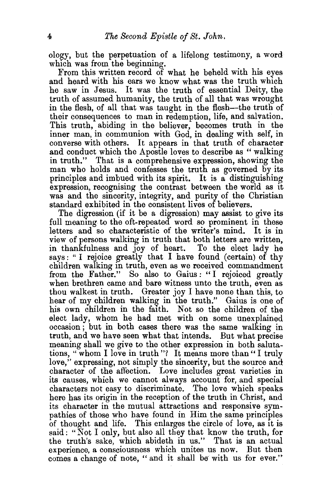ology, but the perpetuation of a lifelong testimony, a word which was from the beginning.

From this written record of what he beheld with his eyes and heard with his ears we know what was the truth which he saw in Jesus. It was the truth of essential Deity, the truth of assumed humanity, the truth of all that was wrought in the flesh, of all that was taught in the flesh—the truth of their consequences to man in redemption, life, and salvation. This truth, abiding in the believer, becomes truth in the inner man, in communion with God, in dealing with self, in converse with others. It appears in that truth of character and conduct which the Apostle loves to describe as " walking in truth." That is a comprehensive expression, showing the man who holds and confesses the truth as governed by its principles and imbued with its spirit. It is a distinguishing expression, recognising the contrast between the world as it was and the sincerity, integrity, and purity of the Christian standard exhibited in the consistent lives of believers.

The digression (if it be a digression) may assist to give its full meaning to the oft-repeated word so prominent in these letters and so characteristic of the writer's mind. It is in view of persons walking in truth that both letters are written, in thankfulness and joy of heart. To the elect lady he says: "I rejoice greatly that I have found (certain) of thy children walking in truth, even as we received commandment from the Father." So also to Gaius: "I rejoiced greatly when brethren came and bare witness unto the truth, even as thou walkest in truth. Greater joy I have none than this, to hear of my children walking in the truth." Gaius is one of his own children in the faith. Not so the children of the elect lady, whom he had met with on some unexplained occasion ; but in both cases there was the same walking in truth, and we have seen what that intends. But what precise meaning shall we give to the other expression in both salutations, " whom I love in truth"? It means more than" I truly love," expressing, not simply the sincerity, but the source and character of the affection. Love includes great varieties in its causes, which we cannot always account for, and special characters not easy to discriminate. The love which speaks here has its origin in the reception of the truth in Christ, and its character in the mutual attractions and responsive sympathies of those who have found in Him the same principles of thought and life. This enlarges the circle of love, as it is said: "Not I only, but also all they that know the truth, for the truth's sake, which abideth in us." That is an actual experience, a consciousness which unites us now. But then comes a change of note, " and it shall be with us for ever."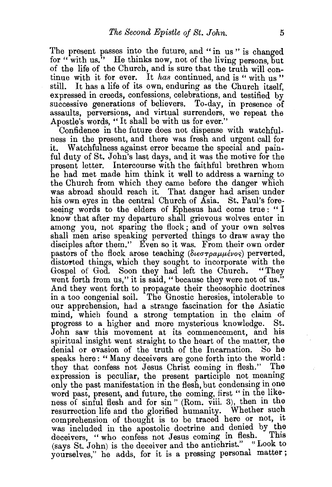The present passes into the future, and "in us" is changed for "with us." He thinks now, not of the living persons, but of the life of the Church, and is sure that the truth will continue with it for ever. It *has* continued, and is " with us" still. It has a life of its own, enduring as the Church itself It has a life of its own, enduring as the Church itself. expressed in creeds, confessions, celebrations, and testified by successive generations of believers. To-day, in presence of assaults, perversions, and virtual surrenders, we repeat the Apostle's words, "It shall be with us for ever."

Confidence in the future does not dispense with watchfulness in the present, and there was fresh and urgent call for it. Watchfulness against error became the special and painful duty of St. John's last days, and it was the motive for the present letter. Intercourse with the faithful brethren whom he had met made him think it well to address a warning to the Church from which they came before the danger which was abroad should reach it. That danger had arisen under his own eyes in the central Church of Asia. St. Paul's foreseeing words to the elders of Ephesus had come true : " I know that after my departure shall grievous wolves enter in among you, not sparing the flock ; and of your own selves shall men arise speaking perverted things to draw away the disciples after them." Even so it was. From their own order pastors of the flock arose teaching ( $\delta\iota\epsilon\sigma\tau\rho\alpha\mu\mu\epsilon\nu\sigma$ ) perverted, distorted things, which they sought to incorporate with the Gosnel of God. Soon they had left the Church. "They Gospel of God. Soon they had left the Church. went forth from us," it is said, "because they were not of us." And they went forth to propagate their theosophic doctrines in a too congenial soil. The Gnostic heresies, intolerable to our apprehension, had a strange fascination for the Asiatic mind, which found a strong temptation in the claim of progress to a higher and more mysterious knowledge. St. John saw this movement at its commencement, and his spiritual insight went straight to the heart of the matter, the denial or evasion of the truth of the Incarnation. So he speaks here: "Many deceivers are gone forth into the world:<br>they that confess not Jesus Christ coming in flesh." The they that confess not Jesus Christ coming in flesh." expression is peculiar, the present participle not meaning only the past manifestation in the flesh, but condensing in one word past, present, and future, the coming, first "in the likeness of sinful flesh and for sin" (Rom. viii. 3), then in the resurrection life and the glorified humanity. Whether such comprehension of thought is to be traced here or not, it was included in the apostolic doctrine and denied by the doctrines "who confess not Jesus coming in flesh. This deceivers, "who confess not Jesus coming in flesh. (says St. John) is the deceiver and the antichrist." "Look to yourselves," he adds, for it is a pressing personal matter;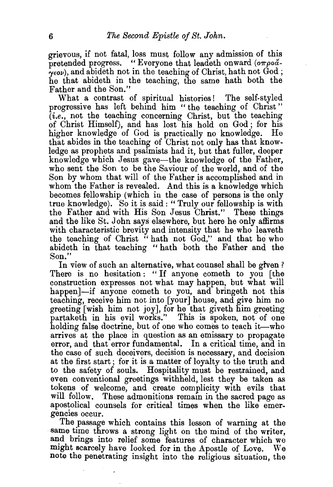grievous, if not fatal, loss must follow any admission of this pretended progress. "Everyone that leadeth onward  $(\sigma \tau \rho o \alpha)$  $r_{\gamma\epsilon o\nu}$ , and abideth not in the teaching of Christ, hath not God; he that abideth in the teaching, the same hath both the Father and the Son."

What a contrast of spiritual histories! The self-styled progressive has left behind him "the teaching of Christ" *(i.e.,* not the teaching concerning Christ, but the teaching of Christ Himself), and has lost his hold on God ; for his higher knowledge of God is practically no knowledge. He that abides in the teaching of Christ not only has that knowledge as prophets and psalmists had it, but that fuller, deeper knowledge which Jesus gave-the knowledge of the Father, who sent the Son to be the Saviour of the world, and of the Son by whom that will of the Father is accomplished and in whom the Father is revealed. And this is a knowledge which becomes fellowship (which in the case of persons is the only true knowledge). So it is said: "Truly our fellowship is with the Father and with His Son Jesus Christ." These things and the like St. John says elsewhere, but here he only affirms with characteristic brevity and intensity that he who leaveth the teaching of Christ " hath not  $God$ ," and that he who abideth in that teaching " hath both the Father and the Son."

In view of such an alternative, what counsel shall be given? There is no hesitation: "If anyone cometh to you [the construction expresses not what may happen, but what will happen ]-if anyone cometh to you, and bringeth not this teaching, receive him not into [your] house, and give him no greeting [wish him not joy], for he that giveth him greeting partaketh in his evil works." This is spoken, not of one holding false doctrine, but of one who comes to teach it—who arrives at the place in question as an emissary to propagate error, and that error fundamental. In a critical time, and in the case of such deceivers, decision is necessary, and decision at the first start; for it is a matter of loyalty to the truth and to the safety of souls. Hospitality must be restrained, and even conventional greetings withheld, lest they be taken as tokens of welcome, and create complicity with evils that will follow. These admonitions remain in the sacred page as apostolical counsels for critical times when the like emergencies occur.

The passage which contains this lesson of warning at the same time throws a strong light on the mind of the writer, and brings into relief some features of character which we might scarcely have looked for in the Apostle of Love. We note the penetrating insight into the religious situation, the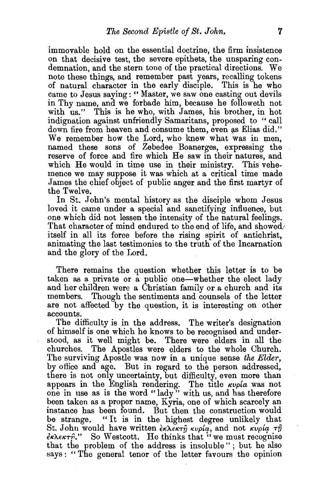immovable hold on the essential doctrine, the firm insistence on that decisive test, the severe epithets, the unsparing condemnation, and the stern tone of the practical directions. We note these things, and remember past years, recalling tokens of natural character in the early disciple. This is he who came to Jesus saying:" Master, we saw one casting out devils in Thy name, and we forbade him, because he followeth not with us." This is he who, with James, his brother, in hot indignation against unfriendly Samaritans, proposed to "call down fire from heaven and consume them, even as Elias did." We remember how the Lord, who knew what was in men, named these sons of Zebedee Boanerges, expressing the reserve of force and fire which He saw in their natures, and which He would in time use in their ministry. This vehemence we may suppose it was which at a critical time made James the chief object of public anger and the first martyr of the Twelve.

In St. John's mental history as the disciple whom Jesus loved it came under a special and sanctifying influence, but one which did not lessen the intensity of the natural feelings. That character of mind endured to the end of life, and showed itself in all its force before the rising spirit of antichrist, animating the last testimonies to the truth of the Incarnation and the glory of the Lord.

There remains the question whether this letter is to be. taken as a private or  $\hat{a}$  public one—whether the elect lady and her children were a Christian family or a church and its members. Though the sentiments and counsels of the letter are not affected by the question, it is interesting on other accounts.

The difficulty is in the address. The writer's designation of himself is one which he knows to be recognised and understood, as it well might be. There were elders in all the churches. The Apostles were elders to the whole Church. The surviving Apostle was now in a unique sense *the Elder,*  by office and age. But in regard to the person addressed, there is not only uncertainty, but difficulty, even more than appears in the English rendering. The title  $\kappa v \rho / a$  was not one in use as is the word "lady " with us, and has therefore been taken as a proper name, Kyria, one of which scarcely an instance has been found. But then the construction would be strange. "It is in the highest degree unlikely that St. John would have written  $\frac{\partial \kappa}{\partial x} \frac{\partial \kappa}{\partial y} \frac{\partial \kappa}{\partial y} \frac{\partial \kappa}{\partial x}$ , and not  $\kappa \frac{\nu \rho}{\sigma} \frac{\partial \kappa}{\partial y} \frac{\partial \kappa}{\partial x}$  $\epsilon$ κλεκτή." So Westcott. He thinks that "we must recognise that the problem of the address is insoluble" ; but he also says: "The general tenor of the letter favours the opinion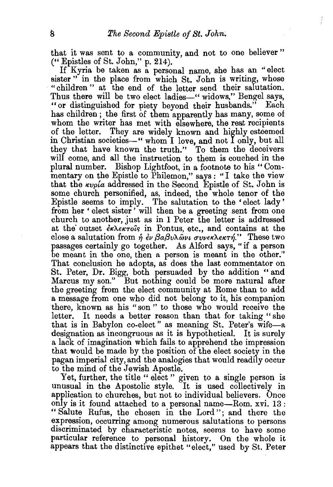I

that it was sent to a community, and not to one believer "  $($ " Epistles of St. John," p. 214).

If Kyria be taken as a personal name, she has an "elect sister" in the place from which St. John is writing, whose "children" at the end of the letter send their salutation. Thus there will be two elect ladies—" widows," Bengel says, "or distinguished for piety beyond their husbands." Each has children; the first of them apparently has many, some of whom the writer has met with elsewhere, the rest recipients of the letter. They are widely known and highly esteemed in Christian societies-" whom'I love, and not I only, but all they that have known the truth." To them the deceivers will come, and all the instruction to them is couched in the plural number. Bishop Lightfoot, in a footnote to his "Commentary on the Epistle to Philemon," says : "I take the view that the  $\kappa v \rho i a$  addressed in the Second Epistle of St. John is some church personified, as, indeed, the whole tenor of the Epistle seems to imply. The salutation to the 'elect lady' from her ' elect sister' will then be a greeting sent from one church to another, just as in 1 Peter the letter is addressed at the outset  $\epsilon_{\kappa\lambda\epsilon\kappa\tau o\hat{i}s}$  in Pontus, etc., and contains at the close a salutation from  $\dot{\eta}$   $\dot{\epsilon} \nu \beta a \beta \nu \lambda \hat{\omega} \nu \iota \sigma \nu \nu \epsilon \kappa \lambda \epsilon \kappa \tau \eta$ ." These two passages certainly go together. As Alford says, "if a person be meant in the one, then a person is meant in the other.'' That conclusion he adopts, as does the last commentator on St. Peter, Dr. Bigg, both persuaded by the addition "and Marcus my son." But nothing could be more natural after the greeting from the elect community at Rome than to add a message from one who did not belong to it, his companion there, known as his "son" to those who would receive the letter. It needs a better reason than that for taking "she that is in Babylon co-elect" as meaning St. Peter's wife-a designation as incongruous as it is hypothetical. It is surely a lack of imagination which fails to apprehend the impression that would be made by the position of the elect society in the pagan imperial city, and the analogies that would readily occur to the mind of the Jewish Apostle.

Yet, further, the title " elect " given to a single person is unusual in the Apostolic style. It is used collectively in application to churches, but not to individual believers. Once only is it found attached to a personal name-Rom. xvi. 13: " Salute Rufus, the chosen in the Lord "; and there the expression, occurring among numerous salutations to persons discriminated by characteristic notes, seems to have some particular reference to personal history. On the whole it appears that the distinctive epithet "elect," used by St. Peter